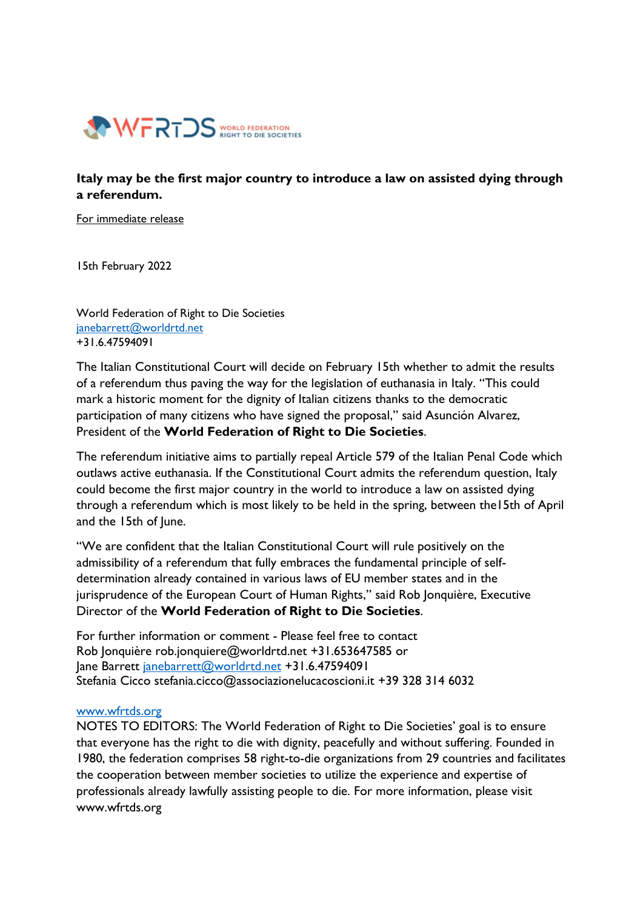

## **Italy may be the first major country to introduce a law on assisted dying through a referendum.**

For immediate release

15th February 2022

World Federation of Right to Die Societies [janebarrett@worldrtd.net](mailto:janebarrett@worldrtd.net) +31.6.47594091

The Italian Constitutional Court will decide on February 15th whether to admit the results of a referendum thus paving the way for the legislation of euthanasia in Italy. "This could mark a historic moment for the dignity of Italian citizens thanks to the democratic participation of many citizens who have signed the proposal," said Asunción Alvarez, President of the **World Federation of Right to Die Societies**.

The referendum initiative aims to partially repeal Article 579 of the Italian Penal Code which outlaws active euthanasia. If the Constitutional Court admits the referendum question, Italy could become the first major country in the world to introduce a law on assisted dying through a referendum which is most likely to be held in the spring, between the15th of April and the 15th of lune.

"We are confident that the Italian Constitutional Court will rule positively on the admissibility of a referendum that fully embraces the fundamental principle of selfdetermination already contained in various laws of EU member states and in the jurisprudence of the European Court of Human Rights," said Rob Jonquière, Executive Director of the **World Federation of Right to Die Societies**.

For further information or comment - Please feel free to contact Rob Jonquière rob.jonquiere@worldrtd.net +31.653647585 or Jane Barrett [janebarrett@worldrtd.net](mailto:janebarrett@worldrtd.net) +31.6.47594091 Stefania Cicco [stefania.cicco@associazionelucacoscioni.it](mailto:stefania.cicco@associazionelucacoscioni.it) +39 328 314 6032

## [www.wfrtds.org](http://www.wfrtds.org/)

NOTES TO EDITORS: The World Federation of Right to Die Societies' goal is to ensure that everyone has the right to die with dignity, peacefully and without suffering. Founded in 1980, the federation comprises 58 right-to-die organizations from 29 countries and facilitates the cooperation between member societies to utilize the experience and expertise of professionals already lawfully assisting people to die. For more information, please visit [www.wfrtds.org](http://www.wfrtds.org/)